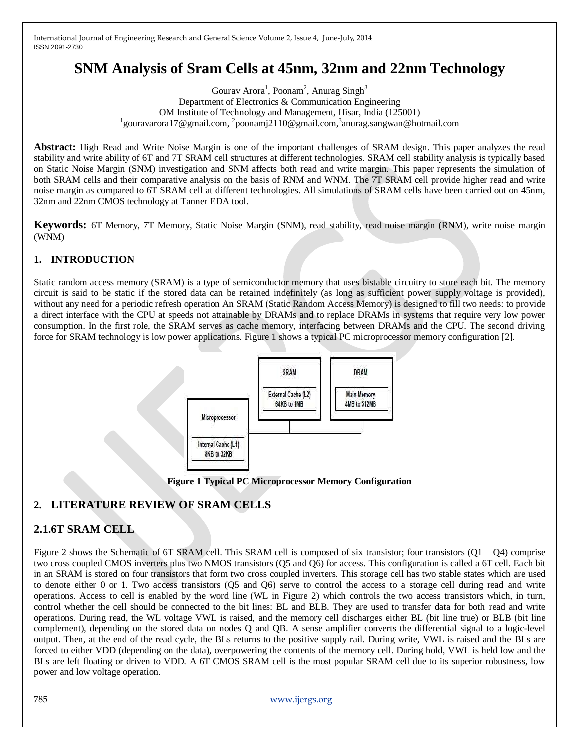# **SNM Analysis of Sram Cells at 45nm, 32nm and 22nm Technology**

Gourav Arora<sup>1</sup>, Poonam<sup>2</sup>, Anurag Singh<sup>3</sup> Department of Electronics & Communication Engineering OM Institute of Technology and Management, Hisar, India (125001) <sup>1</sup>gouravarora 17@gmail.com, <sup>2</sup>poonamj2110@gmail.com, <sup>3</sup>anurag.sangwan@hotmail.com

**Abstract:** High Read and Write Noise Margin is one of the important challenges of SRAM design. This paper analyzes the read stability and write ability of 6T and 7T SRAM cell structures at different technologies. SRAM cell stability analysis is typically based on Static Noise Margin (SNM) investigation and SNM affects both read and write margin. This paper represents the simulation of both SRAM cells and their comparative analysis on the basis of RNM and WNM. The 7T SRAM cell provide higher read and write noise margin as compared to 6T SRAM cell at different technologies. All simulations of SRAM cells have been carried out on 45nm, 32nm and 22nm CMOS technology at Tanner EDA tool.

**Keywords:** 6T Memory, 7T Memory, Static Noise Margin (SNM), read stability, read noise margin (RNM), write noise margin (WNM)

## **1. INTRODUCTION**

Static random access memory (SRAM) is a type of semiconductor memory that uses bistable circuitry to store each bit. The memory circuit is said to be static if the stored data can be retained indefinitely (as long as sufficient power supply voltage is provided), without any need for a periodic refresh operation An SRAM (Static Random Access Memory) is designed to fill two needs: to provide a direct interface with the CPU at speeds not attainable by DRAMs and to replace DRAMs in systems that require very low power consumption. In the first role, the SRAM serves as cache memory, interfacing between DRAMs and the CPU. The second driving force for SRAM technology is low power applications. Figure 1 shows a typical PC microprocessor memory configuration [2].



**Figure 1 Typical PC Microprocessor Memory Configuration**

## **2. LITERATURE REVIEW OF SRAM CELLS**

## **2.1.6T SRAM CELL**

Figure 2 shows the Schematic of 6T SRAM cell. This SRAM cell is composed of six transistor; four transistors  $(01 - 04)$  comprise two cross coupled CMOS inverters plus two NMOS transistors (Q5 and Q6) for access. This configuration is called a 6T cell. Each bit in an SRAM is stored on four transistors that form two cross coupled inverters. This storage cell has two stable states which are used to denote either 0 or 1. Two access transistors (Q5 and Q6) serve to control the access to a storage cell during read and write operations. Access to cell is enabled by the word line (WL in Figure 2) which controls the two access transistors which, in turn, control whether the cell should be connected to the bit lines: BL and BLB. They are used to transfer data for both read and write operations. During read, the WL voltage VWL is raised, and the memory cell discharges either BL (bit line true) or BLB (bit line complement), depending on the stored data on nodes Q and QB. A sense amplifier converts the differential signal to a logic-level output. Then, at the end of the read cycle, the BLs returns to the positive supply rail. During write, VWL is raised and the BLs are forced to either VDD (depending on the data), overpowering the contents of the memory cell. During hold, VWL is held low and the BLs are left floating or driven to VDD. A 6T CMOS SRAM cell is the most popular SRAM cell due to its superior robustness, low power and low voltage operation.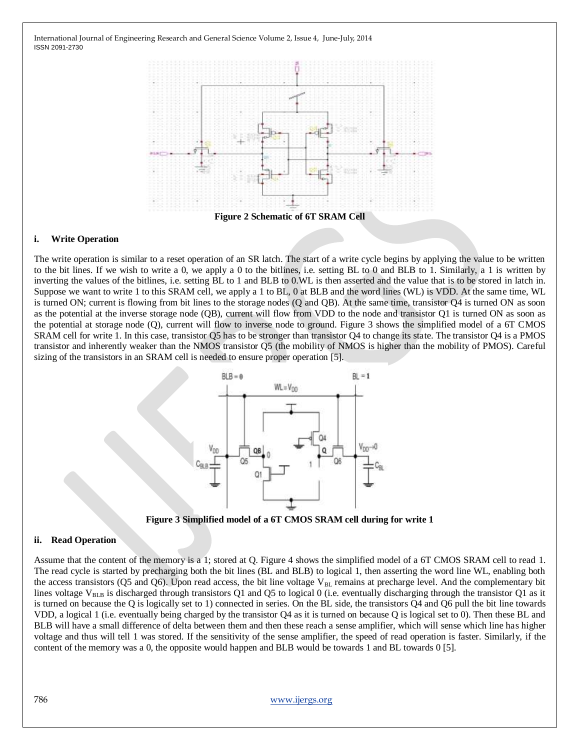

#### **i. Write Operation**

The write operation is similar to a reset operation of an SR latch. The start of a write cycle begins by applying the value to be written to the bit lines. If we wish to write a 0, we apply a 0 to the bitlines, i.e. setting BL to 0 and BLB to 1. Similarly, a 1 is written by inverting the values of the bitlines, i.e. setting BL to 1 and BLB to 0.WL is then asserted and the value that is to be stored in latch in. Suppose we want to write 1 to this SRAM cell, we apply a 1 to BL, 0 at BLB and the word lines (WL) is VDD. At the same time, WL is turned ON; current is flowing from bit lines to the storage nodes (Q and QB). At the same time, transistor Q4 is turned ON as soon as the potential at the inverse storage node (QB), current will flow from VDD to the node and transistor Q1 is turned ON as soon as the potential at storage node (Q), current will flow to inverse node to ground. Figure 3 shows the simplified model of a 6T CMOS SRAM cell for write 1. In this case, transistor Q5 has to be stronger than transistor Q4 to change its state. The transistor Q4 is a PMOS transistor and inherently weaker than the NMOS transistor Q5 (the mobility of NMOS is higher than the mobility of PMOS). Careful sizing of the transistors in an SRAM cell is needed to ensure proper operation [5].



**Figure 3 Simplified model of a 6T CMOS SRAM cell during for write 1**

#### **ii. Read Operation**

Assume that the content of the memory is a 1; stored at Q. Figure 4 shows the simplified model of a 6T CMOS SRAM cell to read 1. The read cycle is started by precharging both the bit lines (BL and BLB) to logical 1, then asserting the word line WL, enabling both the access transistors (Q5 and Q6). Upon read access, the bit line voltage  $V_{BL}$  remains at precharge level. And the complementary bit lines voltage V<sub>BLB</sub> is discharged through transistors Q1 and Q5 to logical 0 (i.e. eventually discharging through the transistor Q1 as it is turned on because the Q is logically set to 1) connected in series. On the BL side, the transistors Q4 and Q6 pull the bit line towards VDD, a logical 1 (i.e. eventually being charged by the transistor Q4 as it is turned on because Q is logical set to 0). Then these BL and BLB will have a small difference of delta between them and then these reach a sense amplifier, which will sense which line has higher voltage and thus will tell 1 was stored. If the sensitivity of the sense amplifier, the speed of read operation is faster. Similarly, if the content of the memory was a 0, the opposite would happen and BLB would be towards 1 and BL towards 0 [5].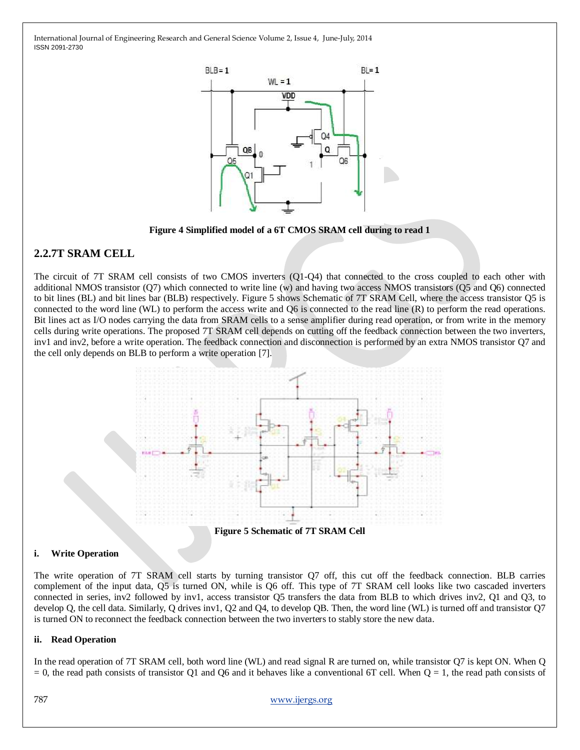

**Figure 4 Simplified model of a 6T CMOS SRAM cell during to read 1**

## **2.2.7T SRAM CELL**

The circuit of 7T SRAM cell consists of two CMOS inverters (Q1-Q4) that connected to the cross coupled to each other with additional NMOS transistor (Q7) which connected to write line (w) and having two access NMOS transistors (Q5 and Q6) connected to bit lines (BL) and bit lines bar (BLB) respectively. Figure 5 shows Schematic of 7T SRAM Cell, where the access transistor Q5 is connected to the word line (WL) to perform the access write and Q6 is connected to the read line (R) to perform the read operations. Bit lines act as I/O nodes carrying the data from SRAM cells to a sense amplifier during read operation, or from write in the memory cells during write operations. The proposed 7T SRAM cell depends on cutting off the feedback connection between the two inverters, inv1 and inv2, before a write operation. The feedback connection and disconnection is performed by an extra NMOS transistor Q7 and the cell only depends on BLB to perform a write operation [7].



**i. Write Operation**

The write operation of 7T SRAM cell starts by turning transistor Q7 off, this cut off the feedback connection. BLB carries complement of the input data, Q5 is turned ON, while is Q6 off. This type of 7T SRAM cell looks like two cascaded inverters connected in series, inv2 followed by inv1, access transistor Q5 transfers the data from BLB to which drives inv2, Q1 and Q3, to develop Q, the cell data. Similarly, Q drives inv1, Q2 and Q4, to develop QB. Then, the word line (WL) is turned off and transistor Q7 is turned ON to reconnect the feedback connection between the two inverters to stably store the new data.

### **ii. Read Operation**

In the read operation of 7T SRAM cell, both word line (WL) and read signal R are turned on, while transistor Q7 is kept ON. When Q  $= 0$ , the read path consists of transistor Q1 and Q6 and it behaves like a conventional 6T cell. When  $Q = 1$ , the read path consists of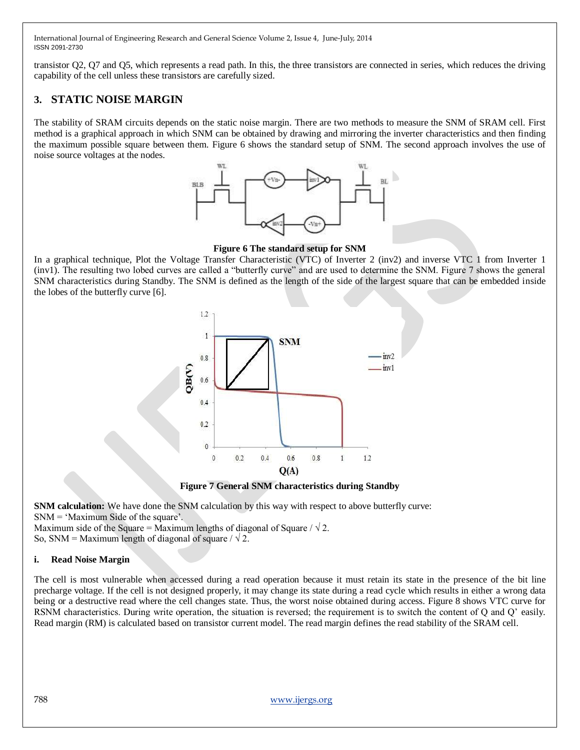transistor Q2, Q7 and Q5, which represents a read path. In this, the three transistors are connected in series, which reduces the driving capability of the cell unless these transistors are carefully sized.

## **3. STATIC NOISE MARGIN**

The stability of SRAM circuits depends on the static noise margin. There are two methods to measure the SNM of SRAM cell. First method is a graphical approach in which SNM can be obtained by drawing and mirroring the inverter characteristics and then finding the maximum possible square between them. Figure 6 shows the standard setup of SNM. The second approach involves the use of noise source voltages at the nodes.



**Figure 6 The standard setup for SNM**

In a graphical technique, Plot the Voltage Transfer Characteristic (VTC) of Inverter 2 (inv2) and inverse VTC 1 from Inverter 1 (inv1). The resulting two lobed curves are called a "butterfly curve" and are used to determine the SNM. Figure 7 shows the general SNM characteristics during Standby. The SNM is defined as the length of the side of the largest square that can be embedded inside the lobes of the butterfly curve [6].



**Figure 7 General SNM characteristics during Standby**

**SNM calculation:** We have done the SNM calculation by this way with respect to above butterfly curve:  $SNM = 'Maximum Side of the square'.$ 

Maximum side of the Square = Maximum lengths of diagonal of Square /  $\sqrt{2}$ .

So, SNM = Maximum length of diagonal of square  $/ \sqrt{2}$ .

#### **i. Read Noise Margin**

The cell is most vulnerable when accessed during a read operation because it must retain its state in the presence of the bit line precharge voltage. If the cell is not designed properly, it may change its state during a read cycle which results in either a wrong data being or a destructive read where the cell changes state. Thus, the worst noise obtained during access. Figure 8 shows VTC curve for RSNM characteristics. During write operation, the situation is reversed; the requirement is to switch the content of Q and Q" easily. Read margin (RM) is calculated based on transistor current model. The read margin defines the read stability of the SRAM cell.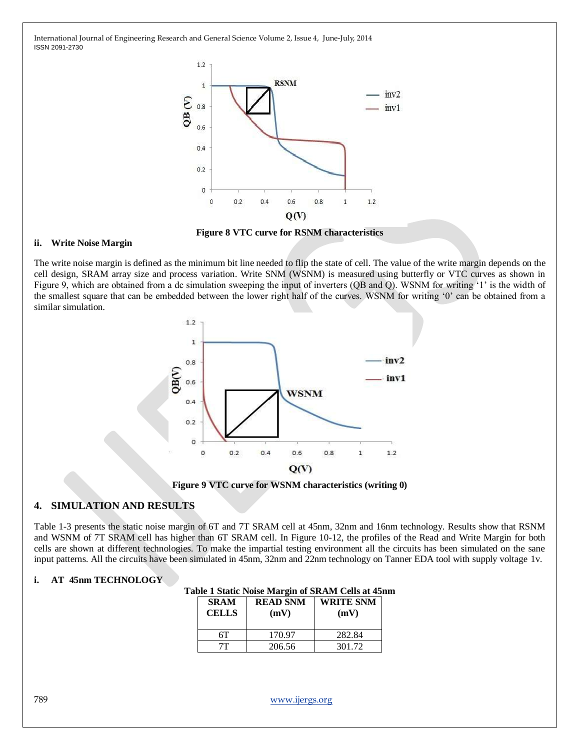

**Figure 8 VTC curve for RSNM characteristics**

#### **ii. Write Noise Margin**

The write noise margin is defined as the minimum bit line needed to flip the state of cell. The value of the write margin depends on the cell design, SRAM array size and process variation. Write SNM (WSNM) is measured using butterfly or VTC curves as shown in Figure 9, which are obtained from a dc simulation sweeping the input of inverters (QB and Q). WSNM for writing '1' is the width of the smallest square that can be embedded between the lower right half of the curves. WSNM for writing "0" can be obtained from a similar simulation.



**Figure 9 VTC curve for WSNM characteristics (writing 0)**

### **4. SIMULATION AND RESULTS**

Table 1-3 presents the static noise margin of 6T and 7T SRAM cell at 45nm, 32nm and 16nm technology. Results show that RSNM and WSNM of 7T SRAM cell has higher than 6T SRAM cell. In Figure 10-12, the profiles of the Read and Write Margin for both cells are shown at different technologies. To make the impartial testing environment all the circuits has been simulated on the sane input patterns. All the circuits have been simulated in 45nm, 32nm and 22nm technology on Tanner EDA tool with supply voltage 1v.

#### **i. AT 45nm TECHNOLOGY**

| ibit I static indist mai gill of six-and cens at for |                         |                          |  |
|------------------------------------------------------|-------------------------|--------------------------|--|
| <b>SRAM</b><br><b>CELLS</b>                          | <b>READ SNM</b><br>(mV) | <b>WRITE SNM</b><br>(mV) |  |
| 6Т                                                   | 170.97                  | 282.84                   |  |
| 7Τ                                                   | 206.56                  | 301.72                   |  |

#### **Table 1 Static Noise Margin of SRAM Cells at 45nm**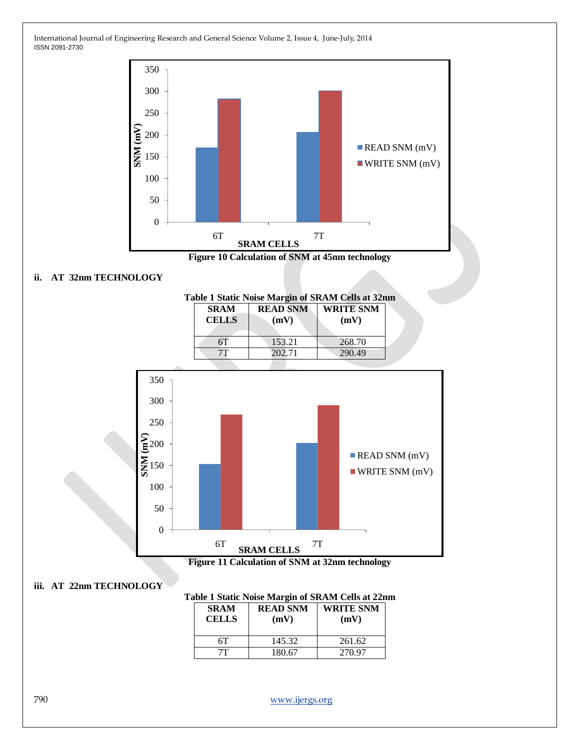



### **ii. AT 32nm TECHNOLOGY**



#### **iii. AT 22nm TECHNOLOGY**

### **Table 1 Static Noise Margin of SRAM Cells at 22nm**

| <b>SRAM</b><br><b>CELLS</b> | <b>READ SNM</b><br>(mV) | <b>WRITE SNM</b><br>(mV) |
|-----------------------------|-------------------------|--------------------------|
| 6Т                          | 145.32                  | 261.62                   |
|                             | 180.67                  | 270.97                   |

790 [www.ijergs.org](http://www.ijergs.org/)